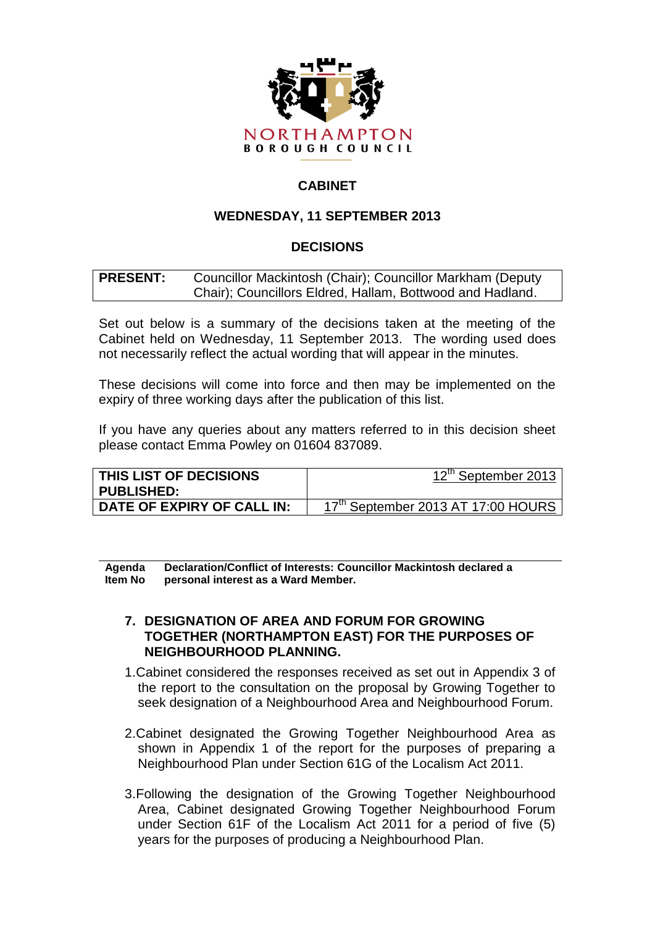

# **CABINET**

## **WEDNESDAY, 11 SEPTEMBER 2013**

## **DECISIONS**

| <b>PRESENT:</b> | Councillor Mackintosh (Chair); Councillor Markham (Deputy |  |  |  |
|-----------------|-----------------------------------------------------------|--|--|--|
|                 | Chair); Councillors Eldred, Hallam, Bottwood and Hadland. |  |  |  |

Set out below is a summary of the decisions taken at the meeting of the Cabinet held on Wednesday, 11 September 2013. The wording used does not necessarily reflect the actual wording that will appear in the minutes.

These decisions will come into force and then may be implemented on the expiry of three working days after the publication of this list.

If you have any queries about any matters referred to in this decision sheet please contact Emma Powley on 01604 837089.

| THIS LIST OF DECISIONS<br><b>PUBLISHED:</b> | 12 <sup>th</sup> September 2013                |
|---------------------------------------------|------------------------------------------------|
| DATE OF EXPIRY OF CALL IN:                  | 17 <sup>th</sup> September 2013 AT 17:00 HOURS |

**Agenda Item No Declaration/Conflict of Interests: Councillor Mackintosh declared a personal interest as a Ward Member.**

#### **7. DESIGNATION OF AREA AND FORUM FOR GROWING TOGETHER (NORTHAMPTON EAST) FOR THE PURPOSES OF NEIGHBOURHOOD PLANNING.**

- 1.Cabinet considered the responses received as set out in Appendix 3 of the report to the consultation on the proposal by Growing Together to seek designation of a Neighbourhood Area and Neighbourhood Forum.
- 2.Cabinet designated the Growing Together Neighbourhood Area as shown in Appendix 1 of the report for the purposes of preparing a Neighbourhood Plan under Section 61G of the Localism Act 2011.
- 3.Following the designation of the Growing Together Neighbourhood Area, Cabinet designated Growing Together Neighbourhood Forum under Section 61F of the Localism Act 2011 for a period of five (5) years for the purposes of producing a Neighbourhood Plan.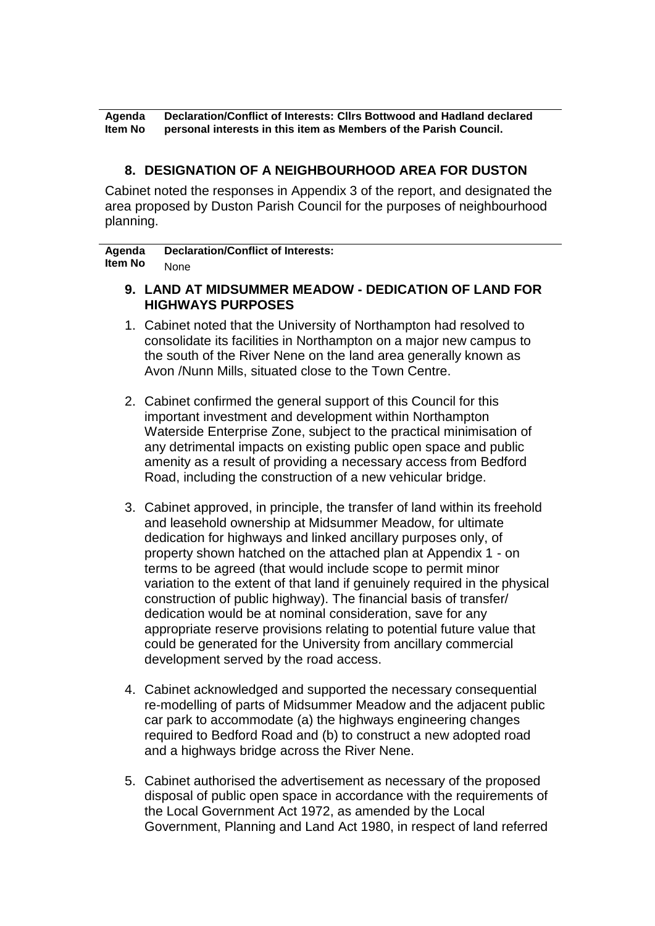**Agenda Item No Declaration/Conflict of Interests: Cllrs Bottwood and Hadland declared personal interests in this item as Members of the Parish Council.**

#### **8. DESIGNATION OF A NEIGHBOURHOOD AREA FOR DUSTON**

Cabinet noted the responses in Appendix 3 of the report, and designated the area proposed by Duston Parish Council for the purposes of neighbourhood planning.

**Agenda Item No Declaration/Conflict of Interests:** None

- **9. LAND AT MIDSUMMER MEADOW - DEDICATION OF LAND FOR HIGHWAYS PURPOSES**
- 1. Cabinet noted that the University of Northampton had resolved to consolidate its facilities in Northampton on a major new campus to the south of the River Nene on the land area generally known as Avon /Nunn Mills, situated close to the Town Centre.
- 2. Cabinet confirmed the general support of this Council for this important investment and development within Northampton Waterside Enterprise Zone, subject to the practical minimisation of any detrimental impacts on existing public open space and public amenity as a result of providing a necessary access from Bedford Road, including the construction of a new vehicular bridge.
- 3. Cabinet approved, in principle, the transfer of land within its freehold and leasehold ownership at Midsummer Meadow, for ultimate dedication for highways and linked ancillary purposes only, of property shown hatched on the attached plan at Appendix 1 - on terms to be agreed (that would include scope to permit minor variation to the extent of that land if genuinely required in the physical construction of public highway). The financial basis of transfer/ dedication would be at nominal consideration, save for any appropriate reserve provisions relating to potential future value that could be generated for the University from ancillary commercial development served by the road access.
- 4. Cabinet acknowledged and supported the necessary consequential re-modelling of parts of Midsummer Meadow and the adjacent public car park to accommodate (a) the highways engineering changes required to Bedford Road and (b) to construct a new adopted road and a highways bridge across the River Nene.
- 5. Cabinet authorised the advertisement as necessary of the proposed disposal of public open space in accordance with the requirements of the Local Government Act 1972, as amended by the Local Government, Planning and Land Act 1980, in respect of land referred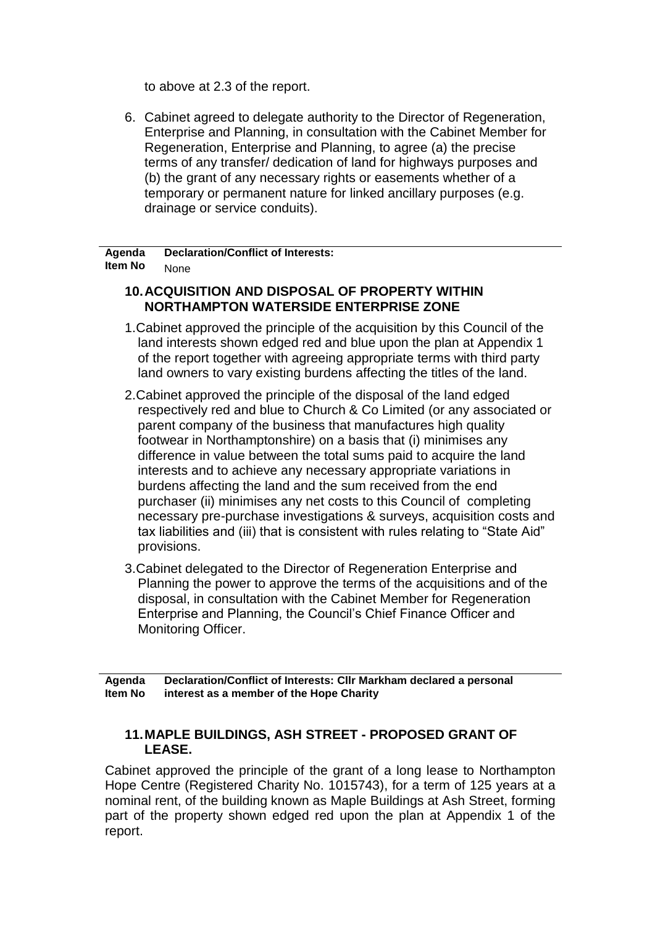to above at 2.3 of the report.

6. Cabinet agreed to delegate authority to the Director of Regeneration, Enterprise and Planning, in consultation with the Cabinet Member for Regeneration, Enterprise and Planning, to agree (a) the precise terms of any transfer/ dedication of land for highways purposes and (b) the grant of any necessary rights or easements whether of a temporary or permanent nature for linked ancillary purposes (e.g. drainage or service conduits).

**Agenda Item No Declaration/Conflict of Interests:** None

# **10.ACQUISITION AND DISPOSAL OF PROPERTY WITHIN NORTHAMPTON WATERSIDE ENTERPRISE ZONE**

- 1.Cabinet approved the principle of the acquisition by this Council of the land interests shown edged red and blue upon the plan at Appendix 1 of the report together with agreeing appropriate terms with third party land owners to vary existing burdens affecting the titles of the land.
- 2.Cabinet approved the principle of the disposal of the land edged respectively red and blue to Church & Co Limited (or any associated or parent company of the business that manufactures high quality footwear in Northamptonshire) on a basis that (i) minimises any difference in value between the total sums paid to acquire the land interests and to achieve any necessary appropriate variations in burdens affecting the land and the sum received from the end purchaser (ii) minimises any net costs to this Council of completing necessary pre-purchase investigations & surveys, acquisition costs and tax liabilities and (iii) that is consistent with rules relating to "State Aid" provisions.
- 3.Cabinet delegated to the Director of Regeneration Enterprise and Planning the power to approve the terms of the acquisitions and of the disposal, in consultation with the Cabinet Member for Regeneration Enterprise and Planning, the Council's Chief Finance Officer and Monitoring Officer.

**Agenda Item No Declaration/Conflict of Interests: Cllr Markham declared a personal interest as a member of the Hope Charity**

### **11.MAPLE BUILDINGS, ASH STREET - PROPOSED GRANT OF LEASE.**

Cabinet approved the principle of the grant of a long lease to Northampton Hope Centre (Registered Charity No. 1015743), for a term of 125 years at a nominal rent, of the building known as Maple Buildings at Ash Street, forming part of the property shown edged red upon the plan at Appendix 1 of the report.